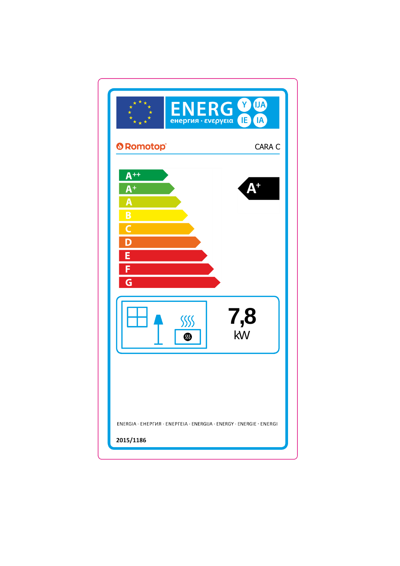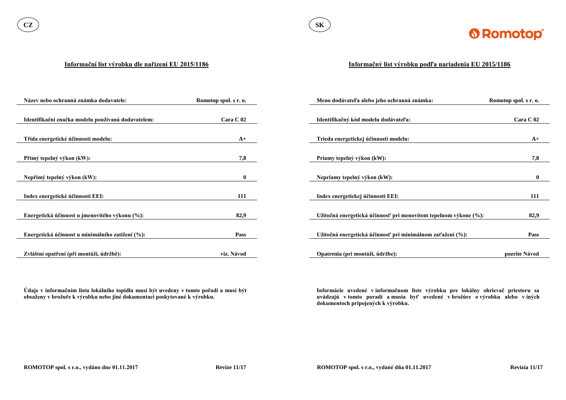

#### **Informační list výrobku dle nařízení EU 2015/1186**

**Údaje v informačním listu lokálního topidla musí být uvedeny v tomto pořadí a musí být obsaženy v brožuře k výrobku nebo jiné dokumentaci poskytované k výrobku.**

| Název nebo ochranná známka dodavatele:             | Romotop spol. s r. o. | Meno dodávateľa alebo jeho ochranná známka:                      | Romotop spol. s r. o. |
|----------------------------------------------------|-----------------------|------------------------------------------------------------------|-----------------------|
|                                                    |                       |                                                                  |                       |
| Identifikační značka modelu používaná dodavatelem: | Cara C 02             | Identifikačný kód modelu dodávateľa:                             | Cara C 02             |
|                                                    |                       |                                                                  |                       |
| Třída energetické účinnosti modelu:                | $A+$                  | Trieda energetickej účinnosti modelu:                            | $A+$                  |
|                                                    |                       |                                                                  |                       |
| Přímý tepelný výkon (kW):                          | 7,8                   | Priamy tepelný výkon (kW):                                       | 7,8                   |
|                                                    |                       |                                                                  |                       |
| Nepřímý tepelný výkon (kW):                        | $\mathbf{0}$          | Nepriamy tepelný výkon (kW):                                     | $\mathbf{0}$          |
|                                                    |                       |                                                                  |                       |
| Index energetické účinnosti EEI:                   | 111                   | Index energetickej účinnosti EEI:                                | 111                   |
|                                                    |                       |                                                                  |                       |
| Energetická účinnost u jmenovitého výkonu (%):     | 82,9                  | Užitočná energetická účinnosť pri menovitom tepelnom výkone (%): | 82,9                  |
|                                                    |                       |                                                                  |                       |
| Energetická účinnost u minimálního zatížení (%):   | Pass                  | Užitočná energetická účinnosť pri minimálnom zaťažení (%):       | <b>Pass</b>           |
|                                                    |                       |                                                                  |                       |
| Zvláštní opatření (při montáži, údržbě):           | viz. Návod            | Opatrenia (pri montáži, údržbe):                                 | pozrite Návod         |

### **Informačný list výrobku podľa nariadenia EU 2015/1186**

**Informácie uvedené v informačnom liste výrobku pre lokálny ohrievač priestoru sa uvádzajú v tomto poradí a musia byť uvedené v brožúre o výrobku alebo v iných dokumentoch pripojených k výrobku.**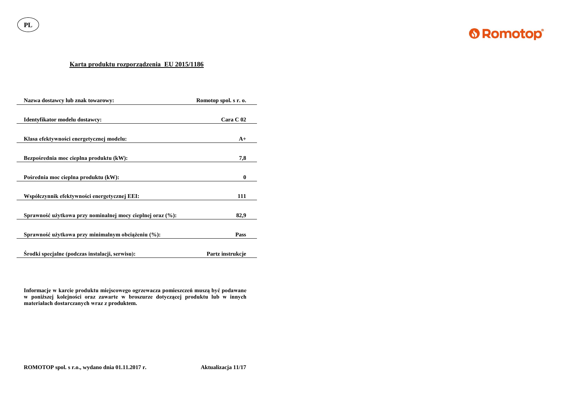**PL**



## **Karta produktu rozporządzenia EU 2015/1186**

| Nazwa dostawcy lub znak towarowy:                          | Romotop spol. s r. o. |
|------------------------------------------------------------|-----------------------|
| Identyfikator modelu dostawcy:                             | Cara C <sub>02</sub>  |
| Klasa efektywności energetycznej modelu:                   | $A+$                  |
| Bezpośrednia moc cieplna produktu (kW):                    | 7,8                   |
| Pośrednia moc cieplna produktu (kW):                       | $\boldsymbol{0}$      |
| Współczynnik efektywności energetycznej EEI:               | 111                   |
| Sprawność użytkowa przy nominalnej mocy cieplnej oraz (%): | 82,9                  |
| Sprawność użytkowa przy minimalnym obciążeniu (%):         | <b>Pass</b>           |
| Srodki specjalne (podczas instalacji, serwisu):            | Partz instrukcje      |

**Informacje w karcie produktu miejscowego ogrzewacza pomieszczeń muszą być podawane w poniższej kolejności oraz zawarte w broszurze dotyczącej produktu lub w innych materiałach dostarczanych wraz z produktem.**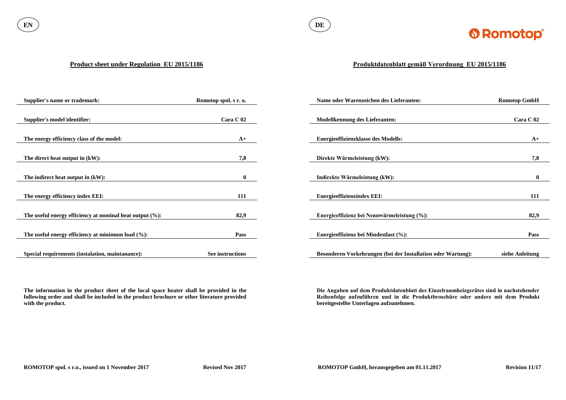

#### **Product sheet under Regulation EU 2015/1186**

**The information in the product sheet of the local space heater shall be provided in the following order and shall be included in the product brochure or other literature provided with the product.**

| <b>Supplier's name or trademark:</b>                        | Romotop spol. s r. o. | Name oder Warenzeichen des Lieferanten:                      | <b>Romotop GmbH</b> |
|-------------------------------------------------------------|-----------------------|--------------------------------------------------------------|---------------------|
|                                                             |                       |                                                              |                     |
| Supplier's model identifier:                                | Cara C 02             | <b>Modellkennung des Lieferanten:</b>                        | Cara C 02           |
|                                                             |                       |                                                              |                     |
| The energy efficiency class of the model:                   | $A+$                  | <b>Energieeffizienzklasse des Modells:</b>                   | $A+$                |
|                                                             |                       |                                                              |                     |
| The direct heat output in (kW):                             | 7,8                   | Direkte Wärmeleistung (kW):                                  | 7,8                 |
|                                                             |                       |                                                              |                     |
| The indirect heat output in $(kW)$ :                        | $\mathbf{0}$          | Indirekte Wärmeleistung (kW):                                | $\mathbf{0}$        |
|                                                             |                       |                                                              |                     |
| The energy efficiency index EEI:                            | 111                   | <b>Energieeffizienzindex EEI:</b>                            | 111                 |
|                                                             |                       |                                                              |                     |
| The useful energy efficiency at nominal heat output $(\%):$ | 82,9                  | Energieeffizienz bei Nennwärmeleistung (%):                  | 82,9                |
|                                                             |                       |                                                              |                     |
| The useful energy efficiency at minimum load $(\%):$        | Pass                  | Energieeffizienz bei Mindestlast (%):                        | <b>Pass</b>         |
|                                                             |                       |                                                              |                     |
| Special requirements (instalation, maintanance):            | See instructions      | Besonderen Vorkehrungen (bei der Installation oder Wartung): | siehe Anleitung     |

# **Produktdatenblatt gemäß Verordnung EU 2015/1186**

**Die Angaben auf dem Produktdatenblatt des Einzelraumheizgerätes sind in nachstehender Reihenfolge aufzuführen und in die Produktbroschüre oder andere mit dem Produkt bereitgestellte Unterlagen aufzunehmen.**